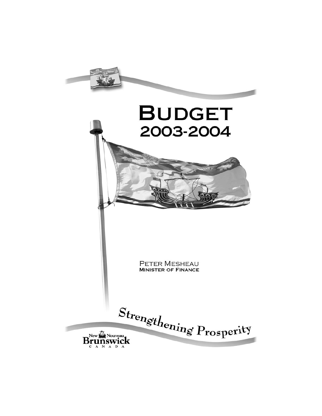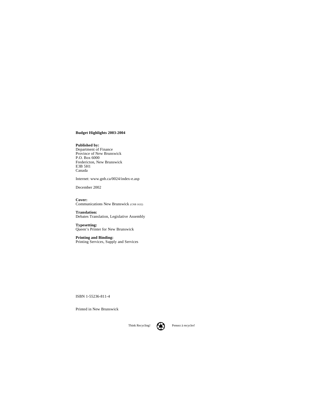#### **Budget Highlights 2003-2004**

**Published by:** Department of Finance Province of New Brunswick P.O. Box 6000 Fredericton, New Brunswick E3B 5H1 Canada

Internet: www.gnb.ca/0024/index-e.asp

December 2002

**Cover:** Communications New Brunswick (CNB 1632)

**Translation:** Debates Translation, Legislative Assembly

**Typesetting:** Queen's Printer for New Brunswick

**Printing and Binding:** Printing Services, Supply and Services

ISBN 1-55236-811-4

Printed in New Brunswick

Think Recycling! **Pensez** à recycler!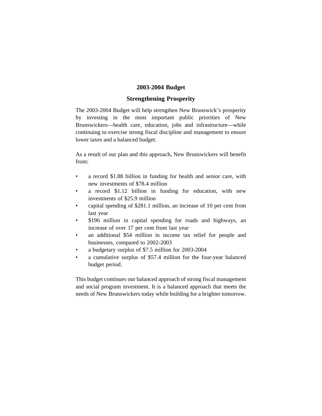#### **2003-2004 Budget**

#### **Strengthening Prosperity**

The 2003-2004 Budget will help strengthen New Brunswick's prosperity by investing in the most important public priorities of New Brunswickers—health care, education, jobs and infrastructure—while continuing to exercise strong fiscal discipline and management to ensure lower taxes and a balanced budget.

As a result of our plan and this approach, New Brunswickers will benefit from:

- a record \$1.88 billion in funding for health and senior care, with new investments of \$78.4 million
- a record \$1.12 billion in funding for education, with new investments of \$25.9 million
- capital spending of \$281.1 million, an increase of 10 per cent from last year
- \$196 million in capital spending for roads and highways, an increase of over 17 per cent from last year
- an additional \$54 million in income tax relief for people and businesses, compared to 2002-2003
- a budgetary surplus of \$7.5 million for 2003-2004
- a cumulative surplus of \$57.4 million for the four-year balanced budget period.

This budget continues our balanced approach of strong fiscal management and social program investment. It is a balanced approach that meets the needs of New Brunswickers today while building for a brighter tomorrow.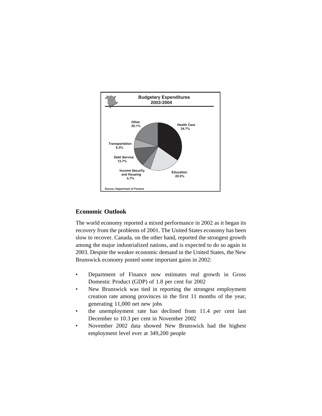

## **Economic Outlook**

The world economy reported a mixed performance in 2002 as it began its recovery from the problems of 2001. The United States economy has been slow to recover. Canada, on the other hand, reported the strongest growth among the major industrialized nations, and is expected to do so again in 2003. Despite the weaker economic demand in the United States, the New Brunswick economy posted some important gains in 2002:

- Department of Finance now estimates real growth in Gross Domestic Product (GDP) of 1.8 per cent for 2002
- New Brunswick was tied in reporting the strongest employment creation rate among provinces in the first 11 months of the year, generating 11,000 net new jobs
- the unemployment rate has declined from 11.4 per cent last December to 10.3 per cent in November 2002
- November 2002 data showed New Brunswick had the highest employment level ever at 349,200 people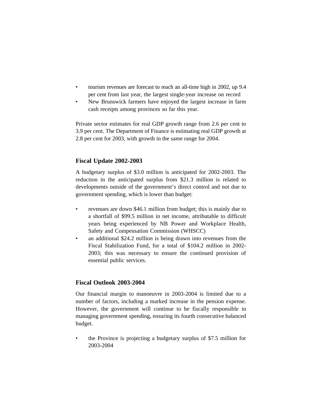- tourism revenues are forecast to reach an all-time high in 2002, up 9.4 per cent from last year, the largest single-year increase on record
- New Brunswick farmers have enjoyed the largest increase in farm cash receipts among provinces so far this year.

Private sector estimates for real GDP growth range from 2.6 per cent to 3.9 per cent. The Department of Finance is estimating real GDP growth at 2.8 per cent for 2003, with growth in the same range for 2004.

#### **Fiscal Update 2002-2003**

A budgetary surplus of \$3.0 million is anticipated for 2002-2003. The reduction in the anticipated surplus from \$21.3 million is related to developments outside of the government's direct control and not due to government spending, which is lower than budget:

- revenues are down \$46.1 million from budget; this is mainly due to a shortfall of \$99.5 million in net income, attributable to difficult years being experienced by NB Power and Workplace Health, Safety and Compensation Commission (WHSCC)
- an additional \$24.2 million is being drawn into revenues from the Fiscal Stabilization Fund, for a total of \$104.2 million in 2002- 2003; this was necessary to ensure the continued provision of essential public services.

#### **Fiscal Outlook 2003-2004**

Our financial margin to manoeuvre in 2003-2004 is limited due to a number of factors, including a marked increase in the pension expense. However, the government will continue to be fiscally responsible in managing government spending, ensuring its fourth consecutive balanced budget.

• the Province is projecting a budgetary surplus of \$7.5 million for 2003-2004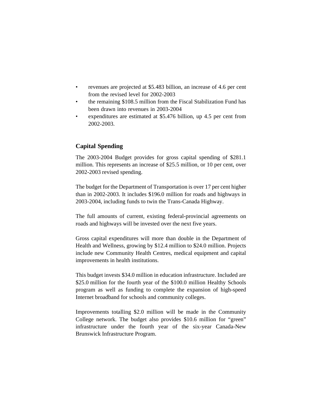- revenues are projected at \$5.483 billion, an increase of 4.6 per cent from the revised level for 2002-2003
- the remaining \$108.5 million from the Fiscal Stabilization Fund has been drawn into revenues in 2003-2004
- expenditures are estimated at \$5.476 billion, up 4.5 per cent from 2002-2003.

#### **Capital Spending**

The 2003-2004 Budget provides for gross capital spending of \$281.1 million. This represents an increase of \$25.5 million, or 10 per cent, over 2002-2003 revised spending.

The budget for the Department of Transportation is over 17 per cent higher than in 2002-2003. It includes \$196.0 million for roads and highways in 2003-2004, including funds to twin the Trans-Canada Highway.

The full amounts of current, existing federal-provincial agreements on roads and highways will be invested over the next five years.

Gross capital expenditures will more than double in the Department of Health and Wellness, growing by \$12.4 million to \$24.0 million. Projects include new Community Health Centres, medical equipment and capital improvements in health institutions.

This budget invests \$34.0 million in education infrastructure. Included are \$25.0 million for the fourth year of the \$100.0 million Healthy Schools program as well as funding to complete the expansion of high-speed Internet broadband for schools and community colleges.

Improvements totalling \$2.0 million will be made in the Community College network. The budget also provides \$10.6 million for "green" infrastructure under the fourth year of the six-year Canada-New Brunswick Infrastructure Program.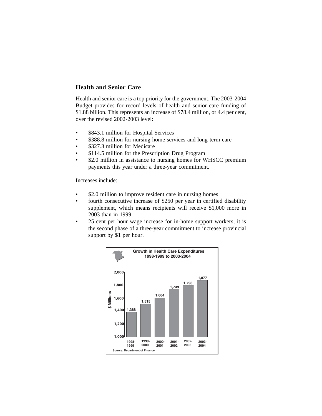### **Health and Senior Care**

Health and senior care is a top priority for the government. The 2003-2004 Budget provides for record levels of health and senior care funding of \$1.88 billion. This represents an increase of \$78.4 million, or 4.4 per cent, over the revised 2002-2003 level:

- \$843.1 million for Hospital Services
- \$388.8 million for nursing home services and long-term care
- \$327.3 million for Medicare
- \$114.5 million for the Prescription Drug Program
- \$2.0 million in assistance to nursing homes for WHSCC premium payments this year under a three-year commitment.

Increases include:

- \$2.0 million to improve resident care in nursing homes
- fourth consecutive increase of \$250 per year in certified disability supplement, which means recipients will receive \$1,000 more in 2003 than in 1999
- 25 cent per hour wage increase for in-home support workers; it is the second phase of a three-year commitment to increase provincial support by \$1 per hour.

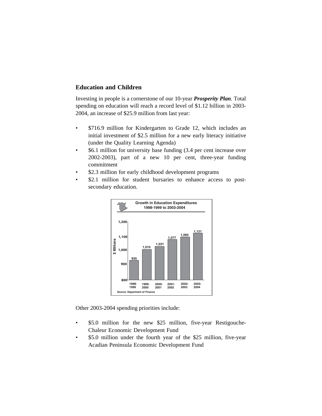### **Education and Children**

Investing in people is a cornerstone of our 10-year *Prosperity Plan.* Total spending on education will reach a record level of \$1.12 billion in 2003- 2004, an increase of \$25.9 million from last year:

- \$716.9 million for Kindergarten to Grade 12, which includes an initial investment of \$2.5 million for a new early literacy initiative (under the Quality Learning Agenda)
- \$6.1 million for university base funding (3.4 per cent increase over 2002-2003), part of a new 10 per cent, three-year funding commitment
- \$2.3 million for early childhood development programs
- \$2.1 million for student bursaries to enhance access to postsecondary education.



Other 2003-2004 spending priorities include:

- \$5.0 million for the new \$25 million, five-year Restigouche-Chaleur Economic Development Fund
- \$5.0 million under the fourth year of the \$25 million, five-year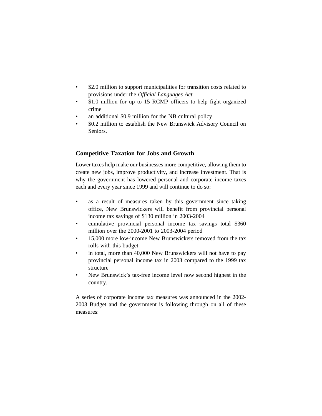- \$2.0 million to support municipalities for transition costs related to provisions under the *Official Languages Act*
- \$1.0 million for up to 15 RCMP officers to help fight organized crime
- an additional \$0.9 million for the NB cultural policy
- \$0.2 million to establish the New Brunswick Advisory Council on Seniors.

### **Competitive Taxation for Jobs and Growth**

Lower taxes help make our businesses more competitive, allowing them to create new jobs, improve productivity, and increase investment. That is why the government has lowered personal and corporate income taxes each and every year since 1999 and will continue to do so:

- as a result of measures taken by this government since taking office, New Brunswickers will benefit from provincial personal income tax savings of \$130 million in 2003-2004
- cumulative provincial personal income tax savings total \$360 million over the 2000-2001 to 2003-2004 period
- 15,000 more low-income New Brunswickers removed from the tax rolls with this budget
- in total, more than 40,000 New Brunswickers will not have to pay provincial personal income tax in 2003 compared to the 1999 tax structure
- New Brunswick's tax-free income level now second highest in the country.

A series of corporate income tax measures was announced in the 2002- 2003 Budget and the government is following through on all of these measures: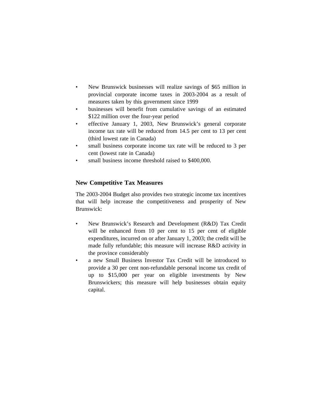- New Brunswick businesses will realize savings of \$65 million in provincial corporate income taxes in 2003-2004 as a result of measures taken by this government since 1999
- businesses will benefit from cumulative savings of an estimated \$122 million over the four-year period
- effective January 1, 2003, New Brunswick's general corporate income tax rate will be reduced from 14.5 per cent to 13 per cent (third lowest rate in Canada)
- small business corporate income tax rate will be reduced to 3 per cent (lowest rate in Canada)
- small business income threshold raised to \$400,000.

## **New Competitive Tax Measures**

The 2003-2004 Budget also provides two strategic income tax incentives that will help increase the competitiveness and prosperity of New Brunswick:

- New Brunswick's Research and Development (R&D) Tax Credit will be enhanced from 10 per cent to 15 per cent of eligible expenditures, incurred on or after January 1, 2003; the credit will be made fully refundable; this measure will increase R&D activity in the province considerably
- a new Small Business Investor Tax Credit will be introduced to provide a 30 per cent non-refundable personal income tax credit of up to \$15,000 per year on eligible investments by New Brunswickers; this measure will help businesses obtain equity capital.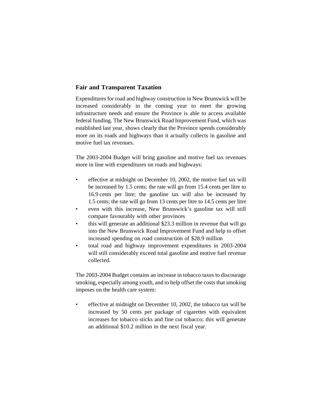### **Fair and Transparent Taxation**

Expenditures for road and highway construction in New Brunswick will be increased considerably in the coming year to meet the growing infrastructure needs and ensure the Province is able to access available federal funding. The New Brunswick Road Improvement Fund, which was established last year, shows clearly that the Province spends considerably more on its roads and highways than it actually collects in gasoline and motive fuel tax revenues.

The 2003-2004 Budget will bring gasoline and motive fuel tax revenues more in line with expenditures on roads and highways:

- effective at midnight on December 10, 2002, the motive fuel tax will be increased by 1.5 cents; the rate will go from 15.4 cents per litre to 16.9 cents per litre; the gasoline tax will also be increased by 1.5 cents; the rate will go from 13 cents per litre to 14.5 cents per litre
- even with this increase, New Brunswick's gasoline tax will still compare favourably with other provinces
- this will generate an additional \$23.3 million in revenue that will go into the New Brunswick Road Improvement Fund and help to offset increased spending on road construction of \$28.9 million
- total road and highway improvement expenditures in 2003-2004 will still considerably exceed total gasoline and motive fuel revenue collected.

The 2003-2004 Budget contains an increase in tobacco taxes to discourage smoking, especially among youth, and to help offset the costs that smoking imposes on the health care system:

• effective at midnight on December 10, 2002, the tobacco tax will be increased by 50 cents per package of cigarettes with equivalent increases for tobacco sticks and fine cut tobacco; this will generate an additional \$10.2 million in the next fiscal year.